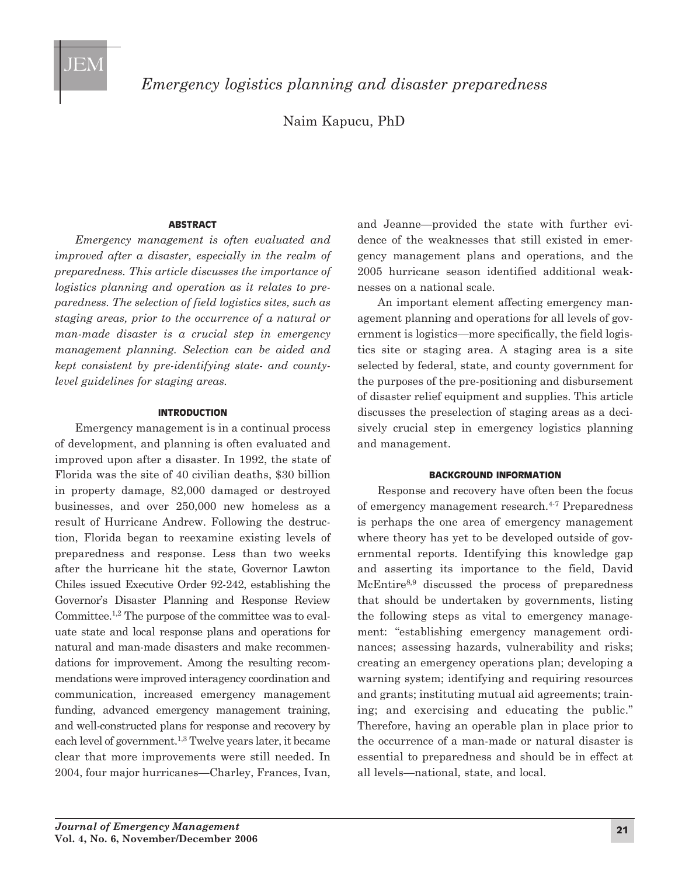

*Emergency logistics planning and disaster preparedness*

Naim Kapucu, PhD

### **AbstrAct**

*Emergency management is often evaluated and improved after a disaster, especially in the realm of preparedness. This article discusses the importance of logistics planning and operation as it relates to preparedness. The selection of field logistics sites, such as staging areas, prior to the occurrence of a natural or man-made disaster is a crucial step in emergency management planning. Selection can be aided and kept consistent by pre-identifying state- and countylevel guidelines for staging areas.*

## **IntroductIon**

Emergency management is in a continual process of development, and planning is often evaluated and improved upon after a disaster. In 1992, the state of Florida was the site of 40 civilian deaths, \$30 billion in property damage, 82,000 damaged or destroyed businesses, and over 250,000 new homeless as a result of Hurricane Andrew. Following the destruction, Florida began to reexamine existing levels of preparedness and response. Less than two weeks after the hurricane hit the state, Governor Lawton Chiles issued Executive Order 92-242, establishing the Governor's Disaster Planning and Response Review Committee.1,2 The purpose of the committee was to evaluate state and local response plans and operations for natural and man-made disasters and make recommendations for improvement. Among the resulting recommendations were improved interagency coordination and communication, increased emergency management funding, advanced emergency management training, and well-constructed plans for response and recovery by each level of government.1,3 Twelve years later, it became clear that more improvements were still needed. In 2004, four major hurricanes—Charley, Frances, Ivan,

and Jeanne—provided the state with further evidence of the weaknesses that still existed in emergency management plans and operations, and the 2005 hurricane season identified additional weaknesses on a national scale.

An important element affecting emergency management planning and operations for all levels of government is logistics—more specifically, the field logistics site or staging area. A staging area is a site selected by federal, state, and county government for the purposes of the pre-positioning and disbursement of disaster relief equipment and supplies. This article discusses the preselection of staging areas as a decisively crucial step in emergency logistics planning and management.

### **bAckground InformAtIon**

Response and recovery have often been the focus of emergency management research.<sup>4-7</sup> Preparedness is perhaps the one area of emergency management where theory has yet to be developed outside of governmental reports. Identifying this knowledge gap and asserting its importance to the field, David McEntire<sup>8,9</sup> discussed the process of preparedness that should be undertaken by governments, listing the following steps as vital to emergency management: "establishing emergency management ordinances; assessing hazards, vulnerability and risks; creating an emergency operations plan; developing a warning system; identifying and requiring resources and grants; instituting mutual aid agreements; training; and exercising and educating the public." Therefore, having an operable plan in place prior to the occurrence of a man-made or natural disaster is essential to preparedness and should be in effect at all levels—national, state, and local.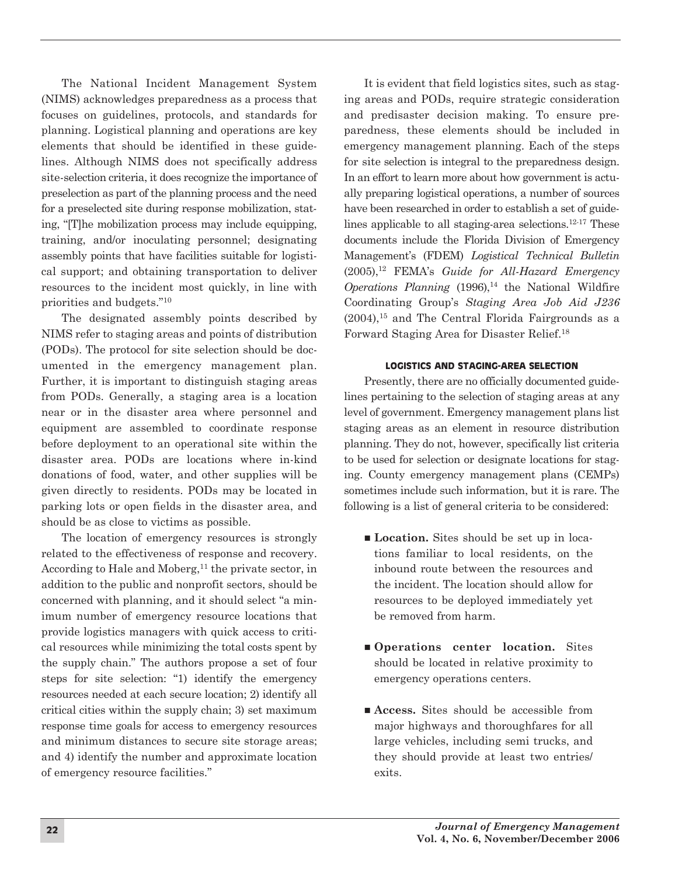The National Incident Management System (NIMS) acknowledges preparedness as a process that focuses on guidelines, protocols, and standards for planning. Logistical planning and operations are key elements that should be identified in these guidelines. Although NIMS does not specifically address site-selection criteria, it does recognize the importance of preselection as part of the planning process and the need for a preselected site during response mobilization, stating, "[T]he mobilization process may include equipping, training, and/or inoculating personnel; designating assembly points that have facilities suitable for logistical support; and obtaining transportation to deliver resources to the incident most quickly, in line with priorities and budgets."10

The designated assembly points described by NIMS refer to staging areas and points of distribution (PODs). The protocol for site selection should be documented in the emergency management plan. Further, it is important to distinguish staging areas from PODs. Generally, a staging area is a location near or in the disaster area where personnel and equipment are assembled to coordinate response before deployment to an operational site within the disaster area. PODs are locations where in-kind donations of food, water, and other supplies will be given directly to residents. PODs may be located in parking lots or open fields in the disaster area, and should be as close to victims as possible.

The location of emergency resources is strongly related to the effectiveness of response and recovery. According to Hale and Moberg,<sup>11</sup> the private sector, in addition to the public and nonprofit sectors, should be concerned with planning, and it should select "a minimum number of emergency resource locations that provide logistics managers with quick access to critical resources while minimizing the total costs spent by the supply chain." The authors propose a set of four steps for site selection: "1) identify the emergency resources needed at each secure location; 2) identify all critical cities within the supply chain; 3) set maximum response time goals for access to emergency resources and minimum distances to secure site storage areas; and 4) identify the number and approximate location of emergency resource facilities."

It is evident that field logistics sites, such as staging areas and PODs, require strategic consideration and predisaster decision making. To ensure preparedness, these elements should be included in emergency management planning. Each of the steps for site selection is integral to the preparedness design. In an effort to learn more about how government is actually preparing logistical operations, a number of sources have been researched in order to establish a set of guidelines applicable to all staging-area selections.<sup>12-17</sup> These documents include the Florida Division of Emergency Management's (FDEM) *Logistical Technical Bulletin* (2005),12 FEMA's *Guide for All-Hazard Emergency Operations Planning* (1996),<sup>14</sup> the National Wildfire Coor dinating Group's *Staging Area Job Aid J236*  $(2004)$ , <sup>15</sup> and The Central Florida Fairgrounds as a Forward Staging Area for Disaster Relief.18

## **LogIstIcs And stAgIng-AreA seLectIon**

Presently, there are no officially documented guidelines pertaining to the selection of staging areas at any level of government. Emergency management plans list staging areas as an element in resource distribution planning. They do not, however, specifically list criteria to be used for selection or designate locations for staging. County emergency management plans (CEMPs) sometimes include such information, but it is rare. The following is a list of general criteria to be considered:

- **Location.** Sites should be set up in locations familiar to local residents, on the inbound route between the resources and the incident. The location should allow for resources to be deployed immediately yet be removed from harm.
- **n Operations** center location. Sites should be located in relative proximity to emergency operations centers.
- Access. Sites should be accessible from major highways and thoroughfares for all large vehicles, including semi trucks, and they should provide at least two entries/ exits.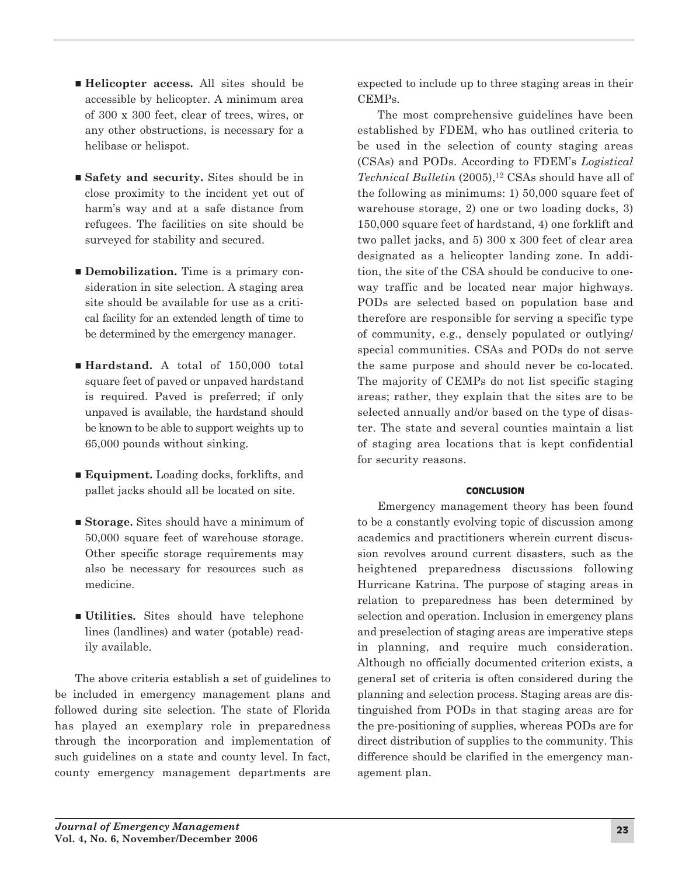- n **Helicopter access.** All sites should be accessible by helicopter. A minimum area of 300 x 300 feet, clear of trees, wires, or any other obstructions, is necessary for a helibase or helispot.
- Safety and security. Sites should be in close proximity to the incident yet out of harm's way and at a safe distance from refugees. The facilities on site should be surveyed for stability and secured.
- **Demobilization.** Time is a primary consideration in site selection. A staging area site should be available for use as a critical facility for an extended length of time to be determined by the emergency manager.
- **Hardstand.** A total of 150,000 total square feet of paved or unpaved hardstand is required. Paved is preferred; if only unpaved is available, the hardstand should be known to be able to support weights up to 65,000 pounds without sinking.
- **Equipment.** Loading docks, forklifts, and pallet jacks should all be located on site.
- **Storage.** Sites should have a minimum of 50,000 square feet of warehouse storage. Other specific storage requirements may also be necessary for resources such as medicine.
- n **Utilities.** Sites should have telephone lines (landlines) and water (potable) readily available.

The above criteria establish a set of guidelines to be included in emergency management plans and followed during site selection. The state of Florida has played an exemplary role in preparedness through the incorporation and implementation of such guidelines on a state and county level. In fact, county emergency management departments are

expected to include up to three staging areas in their CEMPs.

The most comprehensive guidelines have been established by FDEM, who has outlined criteria to be used in the selection of county staging areas (CSAs) and PODs. According to FDEM's *Logistical Technical Bulletin* (2005),<sup>12</sup> CSAs should have all of the following as minimums: 1) 50,000 square feet of warehouse storage, 2) one or two loading docks, 3) 150,000 square feet of hardstand, 4) one forklift and two pallet jacks, and 5) 300 x 300 feet of clear area designated as a helicopter landing zone. In addition, the site of the CSA should be conducive to oneway traffic and be located near major highways. PODs are selected based on population base and therefore are responsible for serving a specific type of community, e.g., densely populated or outlying/ special communities. CSAs and PODs do not serve the same purpose and should never be co-located. The majority of CEMPs do not list specific staging areas; rather, they explain that the sites are to be selected annually and/or based on the type of disaster. The state and several counties maintain a list of staging area locations that is kept confidential for security reasons.

# **concLusIon**

Emergency management theory has been found to be a constantly evolving topic of discussion among academics and practitioners wherein current discussion revolves around current disasters, such as the heightened preparedness discussions following Hurricane Katrina. The purpose of staging areas in relation to preparedness has been determined by selection and operation. Inclusion in emergency plans and preselection of staging areas are imperative steps in planning, and require much consideration. Although no officially documented criterion exists, a general set of criteria is often considered during the planning and selection process. Staging areas are distinguished from PODs in that staging areas are for the pre-positioning of supplies, whereas PODs are for direct distribution of supplies to the community. This difference should be clarified in the emergency management plan.